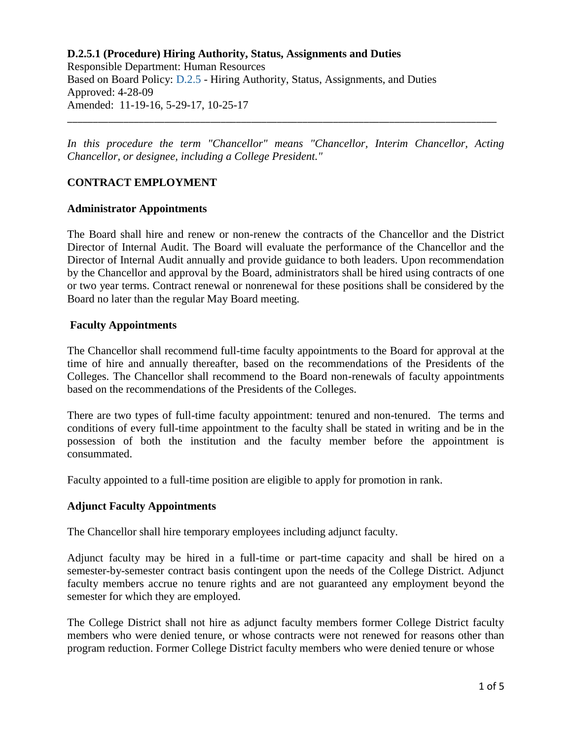Responsible Department: Human Resources Based on Board Policy: [D.2.5](https://www.alamo.edu/siteassets/district/about-us/leadership/board-of-trustees/policies-pdfs/section-d/d.2.5-policy.pdf) - Hiring Authority, Status, Assignments, and Duties Approved: 4-28-09 Amended: 11-19-16, 5-29-17, 10-25-17

*In this procedure the term "Chancellor" means "Chancellor, Interim Chancellor, Acting Chancellor, or designee, including a College President."* 

\_\_\_\_\_\_\_\_\_\_\_\_\_\_\_\_\_\_\_\_\_\_\_\_\_\_\_\_\_\_\_\_\_\_\_\_\_\_\_\_\_\_\_\_\_\_\_\_\_\_\_\_\_\_\_\_\_\_\_\_\_\_\_\_\_\_\_\_\_\_\_\_\_\_\_\_\_\_\_\_\_\_\_\_

## **CONTRACT EMPLOYMENT**

### **Administrator Appointments**

The Board shall hire and renew or non-renew the contracts of the Chancellor and the District Director of Internal Audit. The Board will evaluate the performance of the Chancellor and the Director of Internal Audit annually and provide guidance to both leaders. Upon recommendation by the Chancellor and approval by the Board, administrators shall be hired using contracts of one or two year terms. Contract renewal or nonrenewal for these positions shall be considered by the Board no later than the regular May Board meeting.

#### **Faculty Appointments**

The Chancellor shall recommend full-time faculty appointments to the Board for approval at the time of hire and annually thereafter, based on the recommendations of the Presidents of the Colleges. The Chancellor shall recommend to the Board non-renewals of faculty appointments based on the recommendations of the Presidents of the Colleges.

There are two types of full-time faculty appointment: tenured and non-tenured. The terms and conditions of every full-time appointment to the faculty shall be stated in writing and be in the possession of both the institution and the faculty member before the appointment is consummated.

Faculty appointed to a full-time position are eligible to apply for promotion in rank.

### **Adjunct Faculty Appointments**

The Chancellor shall hire temporary employees including adjunct faculty.

Adjunct faculty may be hired in a full-time or part-time capacity and shall be hired on a semester-by-semester contract basis contingent upon the needs of the College District. Adjunct faculty members accrue no tenure rights and are not guaranteed any employment beyond the semester for which they are employed.

The College District shall not hire as adjunct faculty members former College District faculty members who were denied tenure, or whose contracts were not renewed for reasons other than program reduction. Former College District faculty members who were denied tenure or whose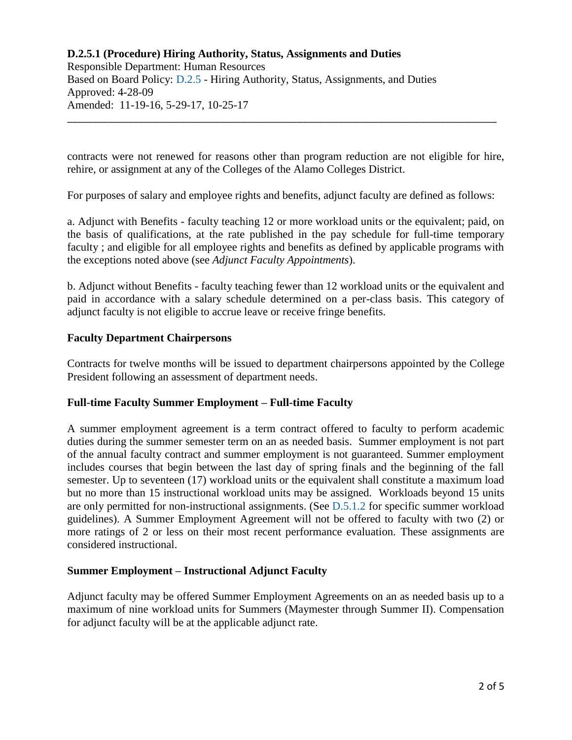Responsible Department: Human Resources Based on Board Policy: [D.2.5](https://www.alamo.edu/siteassets/district/about-us/leadership/board-of-trustees/policies-pdfs/section-d/d.2.5-policy.pdf) - Hiring Authority, Status, Assignments, and Duties Approved: 4-28-09 Amended: 11-19-16, 5-29-17, 10-25-17

contracts were not renewed for reasons other than program reduction are not eligible for hire, rehire, or assignment at any of the Colleges of the Alamo Colleges District.

\_\_\_\_\_\_\_\_\_\_\_\_\_\_\_\_\_\_\_\_\_\_\_\_\_\_\_\_\_\_\_\_\_\_\_\_\_\_\_\_\_\_\_\_\_\_\_\_\_\_\_\_\_\_\_\_\_\_\_\_\_\_\_\_\_\_\_\_\_\_\_\_\_\_\_\_\_\_\_\_\_\_\_\_

For purposes of salary and employee rights and benefits, adjunct faculty are defined as follows:

a. Adjunct with Benefits - faculty teaching 12 or more workload units or the equivalent; paid, on the basis of qualifications, at the rate published in the pay schedule for full-time temporary faculty ; and eligible for all employee rights and benefits as defined by applicable programs with the exceptions noted above (see *Adjunct Faculty Appointments*).

b. Adjunct without Benefits - faculty teaching fewer than 12 workload units or the equivalent and paid in accordance with a salary schedule determined on a per-class basis. This category of adjunct faculty is not eligible to accrue leave or receive fringe benefits.

## **Faculty Department Chairpersons**

Contracts for twelve months will be issued to department chairpersons appointed by the College President following an assessment of department needs.

### **Full-time Faculty Summer Employment – Full-time Faculty**

A summer employment agreement is a term contract offered to faculty to perform academic duties during the summer semester term on an as needed basis. Summer employment is not part of the annual faculty contract and summer employment is not guaranteed. Summer employment includes courses that begin between the last day of spring finals and the beginning of the fall semester. Up to seventeen (17) workload units or the equivalent shall constitute a maximum load but no more than 15 instructional workload units may be assigned. Workloads beyond 15 units are only permitted for non-instructional assignments. (See  $D.5.1.2$  for specific summer workload guidelines). A Summer Employment Agreement will not be offered to faculty with two (2) or more ratings of 2 or less on their most recent performance evaluation. These assignments are considered instructional.

### **Summer Employment – Instructional Adjunct Faculty**

Adjunct faculty may be offered Summer Employment Agreements on an as needed basis up to a maximum of nine workload units for Summers (Maymester through Summer II). Compensation for adjunct faculty will be at the applicable adjunct rate.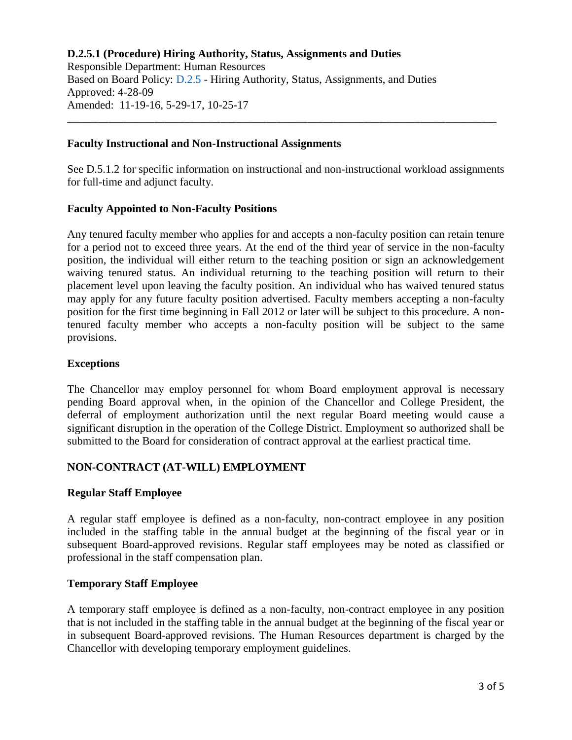Responsible Department: Human Resources Based on Board Policy: [D.2.5](https://www.alamo.edu/siteassets/district/about-us/leadership/board-of-trustees/policies-pdfs/section-d/d.2.5-policy.pdf) - Hiring Authority, Status, Assignments, and Duties Approved: 4-28-09 Amended: 11-19-16, 5-29-17, 10-25-17

### **Faculty Instructional and Non-Instructional Assignments**

See D.5.1.2 for specific information on instructional and non-instructional workload assignments for full-time and adjunct faculty.

\_\_\_\_\_\_\_\_\_\_\_\_\_\_\_\_\_\_\_\_\_\_\_\_\_\_\_\_\_\_\_\_\_\_\_\_\_\_\_\_\_\_\_\_\_\_\_\_\_\_\_\_\_\_\_\_\_\_\_\_\_\_\_\_\_\_\_\_\_\_\_\_\_\_\_\_\_\_\_\_\_\_\_\_

## **Faculty Appointed to Non-Faculty Positions**

Any tenured faculty member who applies for and accepts a non-faculty position can retain tenure for a period not to exceed three years. At the end of the third year of service in the non-faculty position, the individual will either return to the teaching position or sign an acknowledgement waiving tenured status. An individual returning to the teaching position will return to their placement level upon leaving the faculty position. An individual who has waived tenured status may apply for any future faculty position advertised. Faculty members accepting a non-faculty position for the first time beginning in Fall 2012 or later will be subject to this procedure. A nontenured faculty member who accepts a non-faculty position will be subject to the same provisions.

## **Exceptions**

The Chancellor may employ personnel for whom Board employment approval is necessary pending Board approval when, in the opinion of the Chancellor and College President, the deferral of employment authorization until the next regular Board meeting would cause a significant disruption in the operation of the College District. Employment so authorized shall be submitted to the Board for consideration of contract approval at the earliest practical time.

## **NON-CONTRACT (AT-WILL) EMPLOYMENT**

### **Regular Staff Employee**

A regular staff employee is defined as a non-faculty, non-contract employee in any position included in the staffing table in the annual budget at the beginning of the fiscal year or in subsequent Board-approved revisions. Regular staff employees may be noted as classified or professional in the staff compensation plan.

### **Temporary Staff Employee**

A temporary staff employee is defined as a non-faculty, non-contract employee in any position that is not included in the staffing table in the annual budget at the beginning of the fiscal year or in subsequent Board-approved revisions. The Human Resources department is charged by the Chancellor with developing temporary employment guidelines.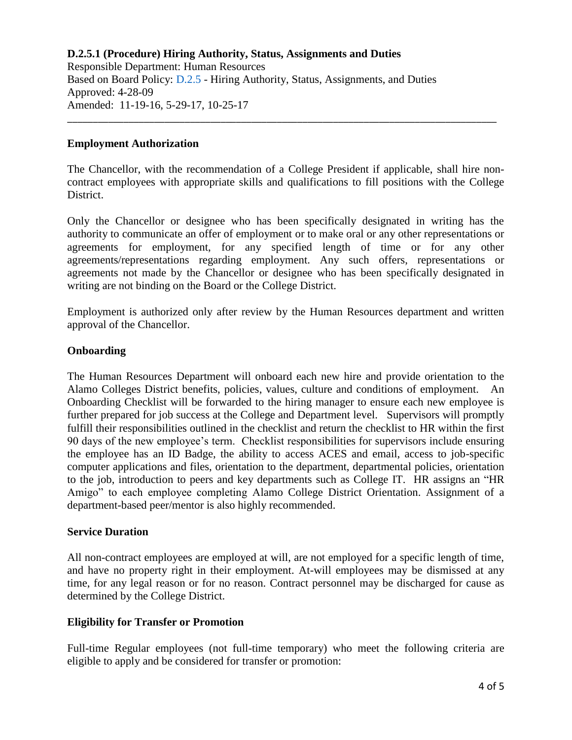Responsible Department: Human Resources Based on Board Policy: [D.2.5](https://www.alamo.edu/siteassets/district/about-us/leadership/board-of-trustees/policies-pdfs/section-d/d.2.5-policy.pdf) - Hiring Authority, Status, Assignments, and Duties Approved: 4-28-09 Amended: 11-19-16, 5-29-17, 10-25-17

### **Employment Authorization**

The Chancellor, with the recommendation of a College President if applicable, shall hire noncontract employees with appropriate skills and qualifications to fill positions with the College District.

\_\_\_\_\_\_\_\_\_\_\_\_\_\_\_\_\_\_\_\_\_\_\_\_\_\_\_\_\_\_\_\_\_\_\_\_\_\_\_\_\_\_\_\_\_\_\_\_\_\_\_\_\_\_\_\_\_\_\_\_\_\_\_\_\_\_\_\_\_\_\_\_\_\_\_\_\_\_\_\_\_\_\_\_

Only the Chancellor or designee who has been specifically designated in writing has the authority to communicate an offer of employment or to make oral or any other representations or agreements for employment, for any specified length of time or for any other agreements/representations regarding employment. Any such offers, representations or agreements not made by the Chancellor or designee who has been specifically designated in writing are not binding on the Board or the College District.

Employment is authorized only after review by the Human Resources department and written approval of the Chancellor.

## **Onboarding**

The Human Resources Department will onboard each new hire and provide orientation to the Alamo Colleges District benefits, policies, values, culture and conditions of employment. An Onboarding Checklist will be forwarded to the hiring manager to ensure each new employee is further prepared for job success at the College and Department level. Supervisors will promptly fulfill their responsibilities outlined in the checklist and return the checklist to HR within the first 90 days of the new employee's term. Checklist responsibilities for supervisors include ensuring the employee has an ID Badge, the ability to access ACES and email, access to job-specific computer applications and files, orientation to the department, departmental policies, orientation to the job, introduction to peers and key departments such as College IT. HR assigns an "HR Amigo" to each employee completing Alamo College District Orientation. Assignment of a department-based peer/mentor is also highly recommended.

### **Service Duration**

All non-contract employees are employed at will, are not employed for a specific length of time, and have no property right in their employment. At-will employees may be dismissed at any time, for any legal reason or for no reason. Contract personnel may be discharged for cause as determined by the College District.

## **Eligibility for Transfer or Promotion**

Full-time Regular employees (not full-time temporary) who meet the following criteria are eligible to apply and be considered for transfer or promotion: